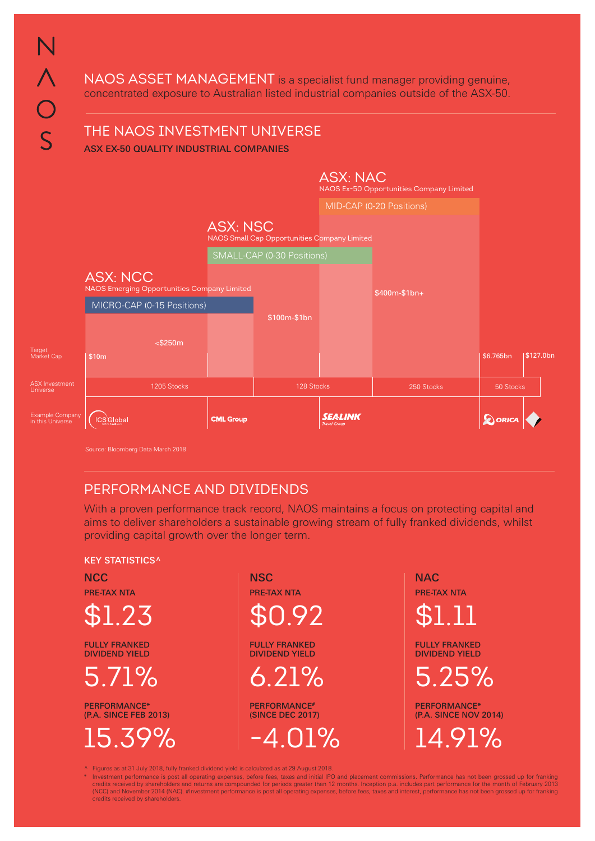NAOS ASSET MANAGEMENT is a specialist fund manager providing genuine, concentrated exposure to Australian listed industrial companies outside of the ASX-50.

# THE NAOS INVESTMENT UNIVERSE

ASX EX-50 QUALITY INDUSTRIAL COMPANIES



## PERFORMANCE AND DIVIDENDS

With a proven performance track record, NAOS maintains a focus on protecting capital and aims to deliver shareholders a sustainable growing stream of fully franked dividends, whilst providing capital growth over the longer term.

#### **KEY STATISTICS^**

 $$1.23$   $$0.92$   $$1.11$ 

FULLY FRANKED DIVIDEND YIELD

PERFORMANCE\* (P.A. SINCE FEB 2013)

 $NCC$  NSC NACCES In  $NSC$  and  $NAC$ PRE-TAX NTA PRE-TAX NTA PRE-TAX NTA

> FULLY FRANKED DIVIDEND YIELD

PERFORMANCE# (SINCE DEC 2017)

FULLY FRANKED DIVIDEND YIELD

5.71% 6.21% 5.25%

PERFORMANCE\* (P.A. SINCE NOV 2014) 15.39% -4.01% 14.91%

^ Figures as at 31 July 2018, fully franked dividend yield is calculated as at 29 August 2018.

hvestment performance is post all operating expenses, before fees, taxes and initial IPO and placement commissions. Performance has not been grossed up for franking \*<br>1013 credits received by shareholders and returns are c (NCC) and November 2014 (NAC). #Investment performance is post all operating expenses, before fees, taxes and interest, performance has not been grossed up for franking credits received by shareholders.